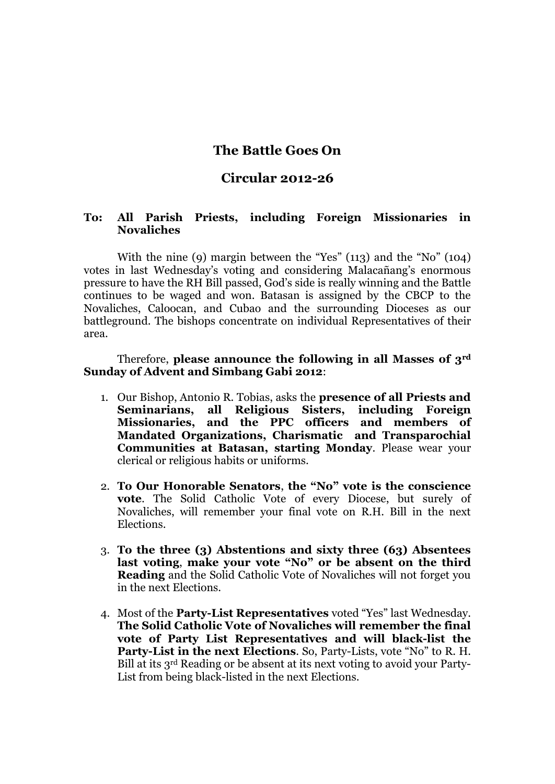## **The Battle Goes On**

## **Circular 2012-26**

## **To: All Parish Priests, including Foreign Missionaries in Novaliches**

With the nine (9) margin between the "Yes" (113) and the "No" (104) votes in last Wednesday's voting and considering Malacañang's enormous pressure to have the RH Bill passed, God's side is really winning and the Battle continues to be waged and won. Batasan is assigned by the CBCP to the Novaliches, Caloocan, and Cubao and the surrounding Dioceses as our battleground. The bishops concentrate on individual Representatives of their area.

Therefore, **please announce the following in all Masses of 3rd Sunday of Advent and Simbang Gabi 2012**:

- 1. Our Bishop, Antonio R. Tobias, asks the **presence of all Priests and Seminarians, all Religious Sisters, including Foreign Missionaries, and the PPC officers and members of Mandated Organizations, Charismatic and Transparochial Communities at Batasan, starting Monday**. Please wear your clerical or religious habits or uniforms.
- 2. **To Our Honorable Senators**, **the "No" vote is the conscience vote**. The Solid Catholic Vote of every Diocese, but surely of Novaliches, will remember your final vote on R.H. Bill in the next Elections.
- 3. **To the three (3) Abstentions and sixty three (63) Absentees last voting**, **make your vote "No" or be absent on the third Reading** and the Solid Catholic Vote of Novaliches will not forget you in the next Elections.
- 4. Most of the **Party-List Representatives** voted "Yes" last Wednesday. **The Solid Catholic Vote of Novaliches will remember the final vote of Party List Representatives and will black-list the Party-List in the next Elections**. So, Party-Lists, vote "No" to R. H. Bill at its 3rd Reading or be absent at its next voting to avoid your Party-List from being black-listed in the next Elections.